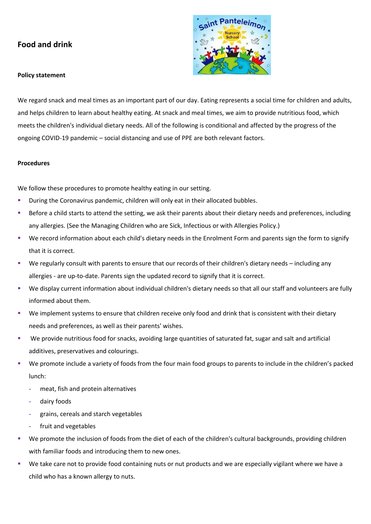# **Food and drink**



# **Policy statement**

We regard snack and meal times as an important part of our day. Eating represents a social time for children and adults, and helps children to learn about healthy eating. At snack and meal times, we aim to provide nutritious food, which meets the children's individual dietary needs. All of the following is conditional and affected by the progress of the ongoing COVID-19 pandemic – social distancing and use of PPE are both relevant factors.

# **Procedures**

We follow these procedures to promote healthy eating in our setting.

- During the Coronavirus pandemic, children will only eat in their allocated bubbles.
- Before a child starts to attend the setting, we ask their parents about their dietary needs and preferences, including any allergies. (See the Managing Children who are Sick, Infectious or with Allergies Policy.)
- We record information about each child's dietary needs in the Enrolment Form and parents sign the form to signify that it is correct.
- We regularly consult with parents to ensure that our records of their children's dietary needs including any allergies - are up-to-date. Parents sign the updated record to signify that it is correct.
- We display current information about individual children's dietary needs so that all our staff and volunteers are fully informed about them.
- We implement systems to ensure that children receive only food and drink that is consistent with their dietary needs and preferences, as well as their parents' wishes.
- We provide nutritious food for snacks, avoiding large quantities of saturated fat, sugar and salt and artificial additives, preservatives and colourings.
- We promote include a variety of foods from the four main food groups to parents to include in the children's packed lunch:
	- **-** meat, fish and protein alternatives
	- **-** dairy foods
	- **-** grains, cereals and starch vegetables
	- **-** fruit and vegetables
- We promote the inclusion of foods from the diet of each of the children's cultural backgrounds, providing children with familiar foods and introducing them to new ones.
- We take care not to provide food containing nuts or nut products and we are especially vigilant where we have a child who has a known allergy to nuts.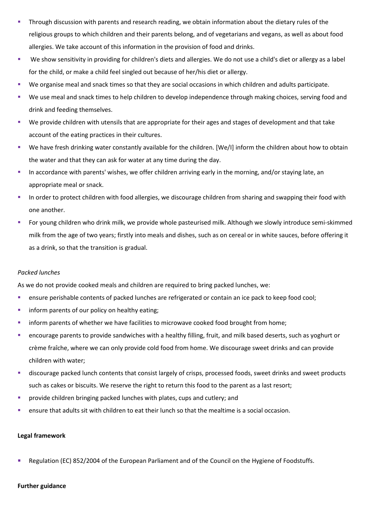- Through discussion with parents and research reading, we obtain information about the dietary rules of the religious groups to which children and their parents belong, and of vegetarians and vegans, as well as about food allergies. We take account of this information in the provision of food and drinks.
- We show sensitivity in providing for children's diets and allergies. We do not use a child's diet or allergy as a label for the child, or make a child feel singled out because of her/his diet or allergy.
- We organise meal and snack times so that they are social occasions in which children and adults participate.
- We use meal and snack times to help children to develop independence through making choices, serving food and drink and feeding themselves.
- We provide children with utensils that are appropriate for their ages and stages of development and that take account of the eating practices in their cultures.
- We have fresh drinking water constantly available for the children. [We/I] inform the children about how to obtain the water and that they can ask for water at any time during the day.
- **■** In accordance with parents' wishes, we offer children arriving early in the morning, and/or staying late, an appropriate meal or snack.
- In order to protect children with food allergies, we discourage children from sharing and swapping their food with one another.
- For young children who drink milk, we provide whole pasteurised milk. Although we slowly introduce semi-skimmed milk from the age of two years; firstly into meals and dishes, such as on cereal or in white sauces, before offering it as a drink, so that the transition is gradual.

## *Packed lunches*

As we do not provide cooked meals and children are required to bring packed lunches, we:

- ensure perishable contents of packed lunches are refrigerated or contain an ice pack to keep food cool;
- **·** inform parents of our policy on healthy eating;
- **·** inform parents of whether we have facilities to microwave cooked food brought from home;
- encourage parents to provide sandwiches with a healthy filling, fruit, and milk based deserts, such as yoghurt or crème fraîche, where we can only provide cold food from home. We discourage sweet drinks and can provide children with water;
- discourage packed lunch contents that consist largely of crisps, processed foods, sweet drinks and sweet products such as cakes or biscuits. We reserve the right to return this food to the parent as a last resort;
- provide children bringing packed lunches with plates, cups and cutlery; and
- ensure that adults sit with children to eat their lunch so that the mealtime is a social occasion.

### **Legal framework**

Regulation (EC) 852/2004 of the European Parliament and of the Council on the Hygiene of Foodstuffs.

### **Further guidance**